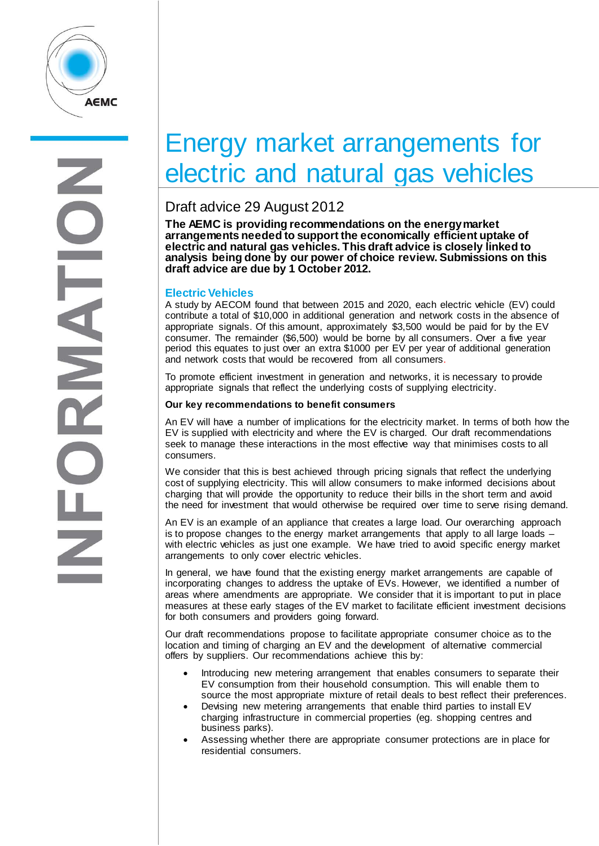

# Energy market arrangements for electric and natural gas vehicles

## Draft advice 29 August 2012

**The AEMC is providing recommendations on the energy market arrangements needed to support the economically efficient uptake of**  analysis being done by our power of choice review. Submissions on this **draft advice are due by 1 October 2012.**

## **Electric Vehicles**

A study by AECOM found that between 2015 and 2020, each electric vehicle (EV) could contribute a total of \$10,000 in additional generation and network costs in the absence of appropriate signals. Of this amount, approximately \$3,500 would be paid for by the EV consumer. The remainder (\$6,500) would be borne by all consumers. Over a five year period this equates to just over an extra \$1000 per EV per year of additional generation and network costs that would be recovered from all consumers.

To promote efficient investment in generation and networks, it is necessary to provide appropriate signals that reflect the underlying costs of supplying electricity.

## **Our key recommendations to benefit consumers**

An EV will have a number of implications for the electricity market. In terms of both how the EV is supplied with electricity and where the EV is charged. Our draft recommendations seek to manage these interactions in the most effective way that minimises costs to all consumers.

We consider that this is best achieved through pricing signals that reflect the underlying cost of supplying electricity. This will allow consumers to make informed decisions about charging that will provide the opportunity to reduce their bills in the short term and avoid the need for investment that would otherwise be required over time to serve rising demand.

An EV is an example of an appliance that creates a large load. Our overarching approach is to propose changes to the energy market arrangements that apply to all large loads – with electric vehicles as just one example. We have tried to avoid specific energy market arrangements to only cover electric vehicles.

In general, we have found that the existing energy market arrangements are capable of incorporating changes to address the uptake of EVs. However, we identified a number of areas where amendments are appropriate. We consider that it is important to put in place measures at these early stages of the EV market to facilitate efficient investment decisions for both consumers and providers going forward.

Our draft recommendations propose to facilitate appropriate consumer choice as to the location and timing of charging an EV and the development of alternative commercial offers by suppliers. Our recommendations achieve this by:

- Introducing new metering arrangement that enables consumers to separate their EV consumption from their household consumption. This will enable them to source the most appropriate mixture of retail deals to best reflect their preferences.
- Devising new metering arrangements that enable third parties to install EV charging infrastructure in commercial properties (eg. shopping centres and business parks).
- Assessing whether there are appropriate consumer protections are in place for residential consumers.